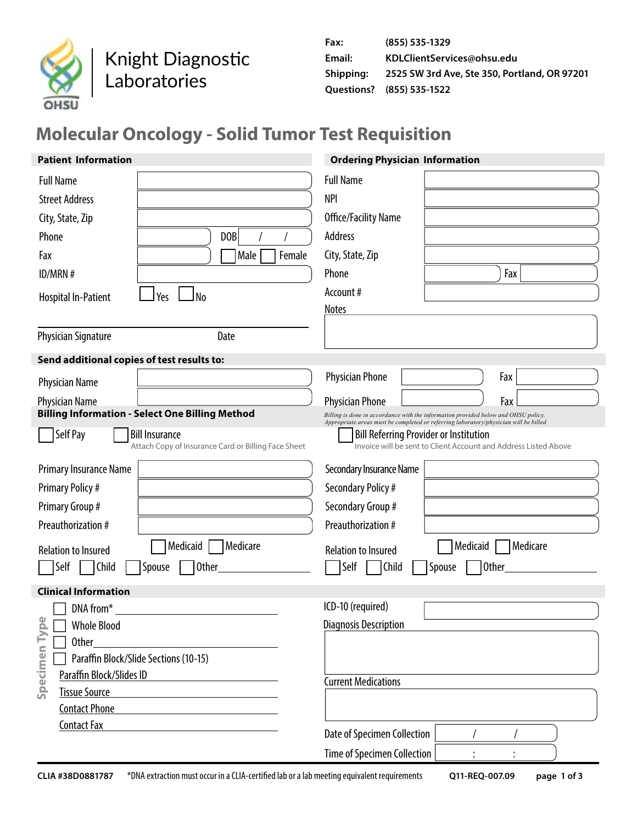

Knight Diagnostic Laboratories

| Fax:      | (855) 535-1329                               |
|-----------|----------------------------------------------|
| Email:    | KDLClientServices@ohsu.edu                   |
| Shipping: | 2525 SW 3rd Ave, Ste 350, Portland, OR 97201 |
|           | Ouestions? (855) 535-1522                    |

# **Molecular Oncology - Solid Tumor Test Requisition**

| <b>Patient Information</b>                                                               | <b>Ordering Physician Information</b>                                                                                                                                      |
|------------------------------------------------------------------------------------------|----------------------------------------------------------------------------------------------------------------------------------------------------------------------------|
| <b>Full Name</b>                                                                         | <b>Full Name</b>                                                                                                                                                           |
| <b>Street Address</b>                                                                    | <b>NPI</b>                                                                                                                                                                 |
| City, State, Zip                                                                         | Office/Facility Name                                                                                                                                                       |
| Phone<br>D <sub>OB</sub>                                                                 | Address                                                                                                                                                                    |
| Female<br>Fax<br>Male                                                                    | City, State, Zip                                                                                                                                                           |
| ID/MRN #                                                                                 | Fax<br>Phone                                                                                                                                                               |
| N <sub>0</sub><br>Yes<br><b>Hospital In-Patient</b>                                      | Account#                                                                                                                                                                   |
|                                                                                          | <b>Notes</b>                                                                                                                                                               |
| Date<br><b>Physician Signature</b>                                                       |                                                                                                                                                                            |
| Send additional copies of test results to:                                               |                                                                                                                                                                            |
| <b>Physician Name</b>                                                                    | <b>Physician Phone</b><br>Fax                                                                                                                                              |
| <b>Physician Name</b>                                                                    | Fax<br><b>Physician Phone</b>                                                                                                                                              |
| <b>Billing Information - Select One Billing Method</b>                                   | Billing is done in accordance with the information provided below and OHSU policy.<br>Appropriate areas must be completed or referring laboratory/physician will be billed |
| Self Pay<br><b>Bill Insurance</b><br>Attach Copy of Insurance Card or Billing Face Sheet | <b>Bill Referring Provider or Institution</b><br>Invoice will be sent to Client Account and Address Listed Above                                                           |
| Primary Insurance Name                                                                   | Secondary Insurance Name                                                                                                                                                   |
| <b>Primary Policy#</b>                                                                   | Secondary Policy #                                                                                                                                                         |
| Primary Group #                                                                          | Secondary Group #                                                                                                                                                          |
| Preauthorization #                                                                       | Preauthorization #                                                                                                                                                         |
| Medicare<br>Medicaid<br><b>Relation to Insured</b>                                       | Medicaid<br>Medicare<br><b>Relation to Insured</b>                                                                                                                         |
| Self<br>Child<br><b>Other</b><br>Spouse                                                  | Self<br>Child<br>Spouse<br>Other                                                                                                                                           |
| <b>Clinical Information</b>                                                              |                                                                                                                                                                            |
| DNA from*<br>Φ                                                                           | ICD-10 (required)                                                                                                                                                          |
| □ Whole Blood                                                                            | <b>Diagnosis Description</b>                                                                                                                                               |
| <b>Other</b><br>Paraffin Block/Slide Sections (10-15)                                    |                                                                                                                                                                            |
| Paraffin Block/Slides ID                                                                 |                                                                                                                                                                            |
| Specimen Typ<br><b>Tissue Source</b>                                                     | <b>Current Medications</b>                                                                                                                                                 |
| <b>Contact Phone</b>                                                                     |                                                                                                                                                                            |
| <b>Contact Fax</b>                                                                       | Date of Specimen Collection                                                                                                                                                |
|                                                                                          | Time of Specimen Collection                                                                                                                                                |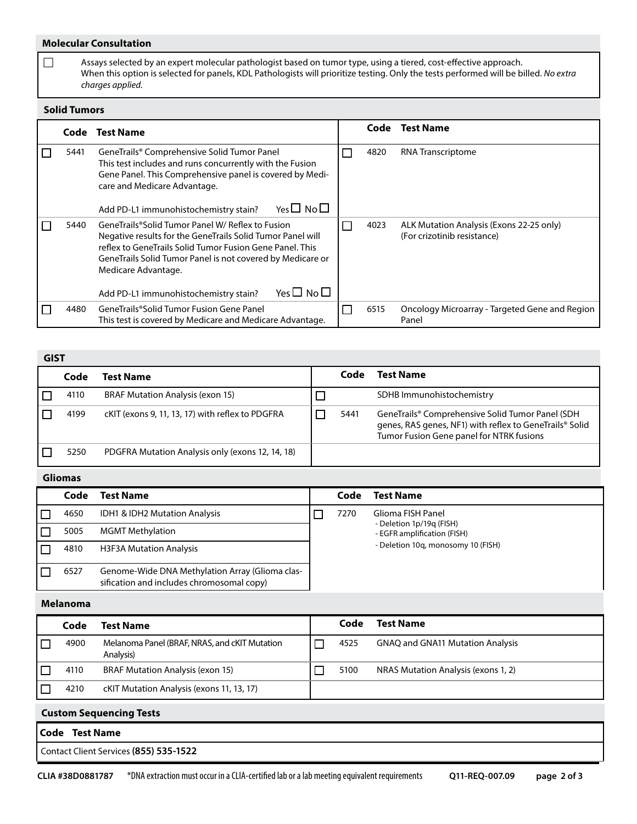### **Molecular Consultation**

 $\Box$  Assays selected by an expert molecular pathologist based on tumor type, using a tiered, cost-effective approach. When this option is selected for panels, KDL Pathologists will prioritize testing. Only the tests performed will be billed. *No extra charges applied.*

#### **Solid Tumors**

|      | Code Test Name                                                                                                                                                                                                                                                                                                                   | Code | <b>Test Name</b>                                                        |
|------|----------------------------------------------------------------------------------------------------------------------------------------------------------------------------------------------------------------------------------------------------------------------------------------------------------------------------------|------|-------------------------------------------------------------------------|
| 5441 | GeneTrails® Comprehensive Solid Tumor Panel<br>This test includes and runs concurrently with the Fusion<br>Gene Panel. This Comprehensive panel is covered by Medi-<br>care and Medicare Advantage.<br>Yes $\square$ No $\square$<br>Add PD-L1 immunohistochemistry stain?                                                       | 4820 | <b>RNA Transcriptome</b>                                                |
| 5440 | GeneTrails®Solid Tumor Panel W/ Reflex to Fusion<br>Negative results for the GeneTrails Solid Tumor Panel will<br>reflex to GeneTrails Solid Tumor Fusion Gene Panel. This<br>GeneTrails Solid Tumor Panel is not covered by Medicare or<br>Medicare Advantage.<br>Yes $\Box$ No $\Box$<br>Add PD-L1 immunohistochemistry stain? | 4023 | ALK Mutation Analysis (Exons 22-25 only)<br>(For crizotinib resistance) |
| 4480 | GeneTrails®Solid Tumor Fusion Gene Panel<br>This test is covered by Medicare and Medicare Advantage.                                                                                                                                                                                                                             | 6515 | Oncology Microarray - Targeted Gene and Region<br>Panel                 |

| GIST |                                                  |  |      |                                                                                                                                                         |  |  |  |
|------|--------------------------------------------------|--|------|---------------------------------------------------------------------------------------------------------------------------------------------------------|--|--|--|
| Code | Test Name                                        |  | Code | <b>Test Name</b>                                                                                                                                        |  |  |  |
| 4110 | <b>BRAF Mutation Analysis (exon 15)</b>          |  |      | SDHB Immunohistochemistry                                                                                                                               |  |  |  |
| 4199 | cKIT (exons 9, 11, 13, 17) with reflex to PDGFRA |  | 5441 | GeneTrails® Comprehensive Solid Tumor Panel (SDH<br>genes, RAS genes, NF1) with reflex to GeneTrails® Solid<br>Tumor Fusion Gene panel for NTRK fusions |  |  |  |
| 5250 | PDGFRA Mutation Analysis only (exons 12, 14, 18) |  |      |                                                                                                                                                         |  |  |  |

## **Gliomas**

| Code | <b>Test Name</b>                                                                             |  | Code | <b>Test Name</b>                                        |
|------|----------------------------------------------------------------------------------------------|--|------|---------------------------------------------------------|
| 4650 | IDH1 & IDH2 Mutation Analysis                                                                |  | 7270 | Glioma FISH Panel                                       |
| 5005 | <b>MGMT Methylation</b>                                                                      |  |      | - Deletion 1p/19g (FISH)<br>- EGFR amplification (FISH) |
| 4810 | <b>H3F3A Mutation Analysis</b>                                                               |  |      | - Deletion 10g, monosomy 10 (FISH)                      |
| 6527 | Genome-Wide DNA Methylation Array (Glioma clas-<br>sification and includes chromosomal copy) |  |      |                                                         |

#### **Melanoma**

|                                | Code                                            | <b>Test Name</b>                                           |  | Code | <b>Test Name</b>                        |  |  |
|--------------------------------|-------------------------------------------------|------------------------------------------------------------|--|------|-----------------------------------------|--|--|
|                                | 4900                                            | Melanoma Panel (BRAF, NRAS, and cKIT Mutation<br>Analysis) |  | 4525 | <b>GNAQ and GNA11 Mutation Analysis</b> |  |  |
|                                | <b>BRAF Mutation Analysis (exon 15)</b><br>4110 |                                                            |  | 5100 | NRAS Mutation Analysis (exons 1, 2)     |  |  |
|                                | 4210                                            | cKIT Mutation Analysis (exons 11, 13, 17)                  |  |      |                                         |  |  |
| <b>Custom Sequencing Tests</b> |                                                 |                                                            |  |      |                                         |  |  |
| <b>Test Name</b><br>Code       |                                                 |                                                            |  |      |                                         |  |  |

Contact Client Services **(855) 535-1522**